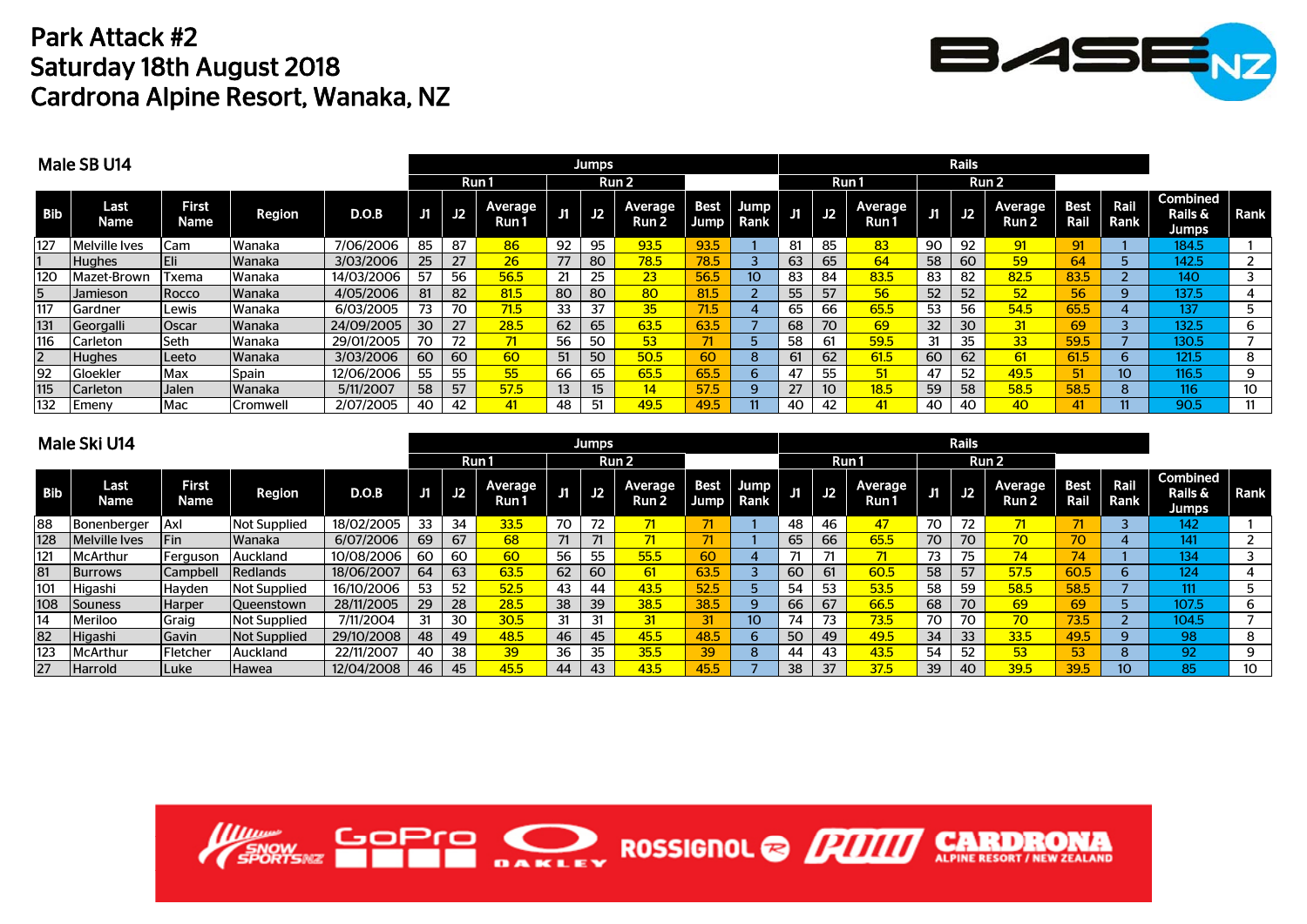## Park Attack #2Saturday 18th August 2018 Cardrona Alpine Resort, Wanaka, NZ



|            | Male SB U14   |                      |               | <b>Jumps</b> |    |           |                  |    |                  |                         |                     |              |    |                 |                  |    |    |                  |              |              |                                            |      |
|------------|---------------|----------------------|---------------|--------------|----|-----------|------------------|----|------------------|-------------------------|---------------------|--------------|----|-----------------|------------------|----|----|------------------|--------------|--------------|--------------------------------------------|------|
|            |               |                      |               |              |    |           | Run 1            |    |                  | Run 2                   |                     |              |    |                 | Run 1            |    |    | Run 2            |              |              |                                            |      |
| <b>Bib</b> | Last<br>Name  | <b>First</b><br>Name | <b>Region</b> | D.O.B        | J1 | J2        | Average<br>Run 1 | J1 | J2               | <b>Average</b><br>Run 2 | <b>Best</b><br>Jump | Jump<br>Rank | J1 | J2              | Average<br>Run 1 | IJ | J2 | Average<br>Run 2 | Best<br>Rail | Rail<br>Rank | <b>Combined</b><br>Rails &<br><b>Jumps</b> | Rank |
| 127        | Melville Ives | Cam                  | <b>Wanaka</b> | 7/06/2006    | 85 | 87        | 86               | 92 | 95               | 93.5                    | 93.5                |              | 81 | 85              | 83               | 90 | 92 | 91               | 91           |              | 184.5                                      |      |
|            | <b>Hughes</b> |                      | <b>Wanaka</b> | 3/03/2006    | 25 | 27        | 26               | 77 | 80               | 78.5                    | 78.5                |              | 63 | 65              | 64               | 58 | 60 | 59               | 64           |              | 142.5                                      |      |
| 120        | Mazet-Brown   | Txema                | Wanaka        | 14/03/2006   | 57 | 56        | 56.5             | 21 | 25               | 23                      | 56.5                | 10           | 83 | 84              | 83.5             | 83 | 82 | 82.5             | 83.5         |              | 140                                        | 3    |
| 5          | Jamieson      | Rocco                | Wanaka        | 4/05/2006    | 81 | 82        | 81.5             | 80 | 80               | 80                      | 81.5                |              | 55 | 57              | 56               | 52 | 52 | 52               | 56           | q.           | 137.5                                      |      |
| 117        | Gardner       | Lewis                | Wanaka        | 6/03/2005    | 73 | 70        | 71.5             | 33 | 37               | 35                      | 71.5                |              | 65 | 66              | 65.5             | 53 | 56 | 54.5             | 65.5         |              | 137                                        |      |
| 131        | Georgalli     | Oscar                | <b>Wanaka</b> | 24/09/2005   | 30 | <b>27</b> | 28.5             | 62 | 65               | 63.5                    | 63.5                |              | 68 | 70              | 69               | 32 | 30 | 31               | 69           |              | 132.5                                      | 6    |
| 116        | Carleton      | lSeth i              | Wanaka        | 29/01/2005   | 70 | 72        | 71               | 56 | 50               | 53                      |                     | h            | 58 | 61              | 59.5             | 31 | 35 | 33 <sup>1</sup>  | 59.5         |              | 130.5                                      |      |
| 2          | <b>Hughes</b> | Leeto                | Wanaka        | 3/03/2006    | 60 | 60        | 60               | 51 | 50               | 50.5                    | 60                  | 8            |    | 62              | 61.5             | 60 | 62 | 61               | 61.5         | ნ.           | 121.5                                      | 8    |
| 92         | Gloekler      | Max                  | Spain         | 12/06/2006   | 55 | 55        | 55               | 66 | 65               | 65.5                    | 65.5                | 6            |    | 55              | 51               | 47 | 52 | 49.5             | 51           | 10           | 116.5                                      | 9    |
| 115        | Carleton      | Jalen                | <b>Wanaka</b> | 5/11/2007    | 58 | 57        | 57.5             | 13 | 15 <sup>15</sup> | 14                      | 57.5                | 9            |    | 10 <sup>°</sup> | 18.5             | 59 | 58 | 58.5             | 58.5         | 8.           | 116                                        | 10   |
| 132        | Emeny         | Mac                  | Cromwell      | 2/07/2005    | 40 | 42        | 41               | 48 | 51               | 49.5                    | 49.5                |              | 40 | 42              | 41               | 40 | 40 | 40               | 41           |              | 90.5                                       |      |

|            | Male Ski U14       |                      |                     |            |     |    | <b>Jumps</b>     |    |    |                  |                            |                 |    |    |                  |    |           |                  |                     |                 |                                     |             |
|------------|--------------------|----------------------|---------------------|------------|-----|----|------------------|----|----|------------------|----------------------------|-----------------|----|----|------------------|----|-----------|------------------|---------------------|-----------------|-------------------------------------|-------------|
|            |                    |                      |                     |            |     |    | Run 1            |    |    | Run <sub>2</sub> |                            |                 |    |    | Run 1            |    |           | Run 2            |                     |                 |                                     |             |
| <b>Bib</b> | Last<br>Name       | <b>First</b><br>Name | Region              | D.O.B      | Jil | J2 | Average<br>Run 1 | J1 | J2 | Average<br>Run 2 | <b>Best</b><br><b>Jump</b> | Jump<br>Rank    | J1 | J2 | Average<br>Run 1 | J1 | <b>J2</b> | Average<br>Run 2 | <b>Best</b><br>Rail | Rail<br>Rank    | <b>Combined</b><br>Rails &<br>Jumps | <b>Rank</b> |
| 88         | <b>Bonenberger</b> | . Axl                | <b>Not Supplied</b> | 18/02/2005 | 33  | 34 | 33.5             | 70 | 72 |                  |                            |                 | 48 | 46 | 47               | 70 | 72        | 71               | 71                  |                 | 142                                 |             |
| 128        | Melville Ives      | Fin                  | Wanaka              | 6/07/2006  | 69  | 67 | 68               |    | 71 | 71               |                            |                 | 65 | 66 | 65.5             | 70 | 70        | 70               | 70                  |                 | 141                                 |             |
| 121        | McArthur           | Ferguson             | <b>IAuckland</b>    | 10/08/2006 | 60  | 60 | 60               | 56 | 55 | 55.5             | 60                         |                 |    | 71 | 71               | 73 | 75        | 74               | 74 <sup>1</sup>     |                 | 134                                 |             |
| 81         | <b>Burrows</b>     | Campbell             | Redlands            | 18/06/2007 | 64  | 63 | 63.5             | 62 | 60 | 61               | 63.5                       |                 | 60 | 61 | 60.5             | 58 | 57        | 57.5             | 60.5                | 6.              | 124                                 |             |
| 101        | Higashi            | Hayden               | <b>Not Supplied</b> | 16/10/2006 | 53  | 52 | 52.5             | 43 | 44 | 43.5             | 52.5                       |                 | 54 | 53 | 53.5             | 58 | 59        | 58.5             | 58.5                |                 | 111                                 |             |
| 108        | <b>Souness</b>     | <b>Harper</b>        | <b>Oueenstown</b>   | 28/11/2005 | 29  | 28 | 28.5             | 38 | 39 | 38.5             | 38.5                       | q               | 66 | 67 | 66.5             | 68 | 70        | 69               | 69                  |                 | 107.5                               | 6           |
| 14         | Meriloo            | Graig                | <b>Not Supplied</b> | 7/11/2004  | 31  | 30 | 30.5             | 31 | 31 | 31               | 31                         | 10 <sup>1</sup> | 74 | 73 | 73.5             | 70 | 70        | 70               | 73.5                |                 | 104.5                               |             |
| 82         | Higashi            | Gavin                | <b>Not Supplied</b> | 29/10/2008 | 48  | 49 | 48.5             | 46 | 45 | 45.5             | 48.5                       | 6               | 50 | 49 | 49.5             | 34 | 33        | 33.5             | 49.5                | q               | 98                                  | 8           |
| 123        | McArthur           | Fletcher             | <b>Auckland</b>     | 22/11/2007 | 40  | 38 | 39               | 36 | 35 | 35.5             | 39                         | 8               | 44 | 43 | 43.5             | 54 | 52        | 53               | 53                  | 8               | 92 <sub>0</sub>                     | 9           |
| 27         | <b>Harrold</b>     | ILuke                | <b>Hawea</b>        | 12/04/2008 | 46  | 45 | 45.5             | 44 | 43 | 43.5             | 45.5                       |                 | 38 |    | 37.5             | 39 | 40        | 39.5             | 39.5                | 10 <sup>°</sup> | 85                                  | 10          |

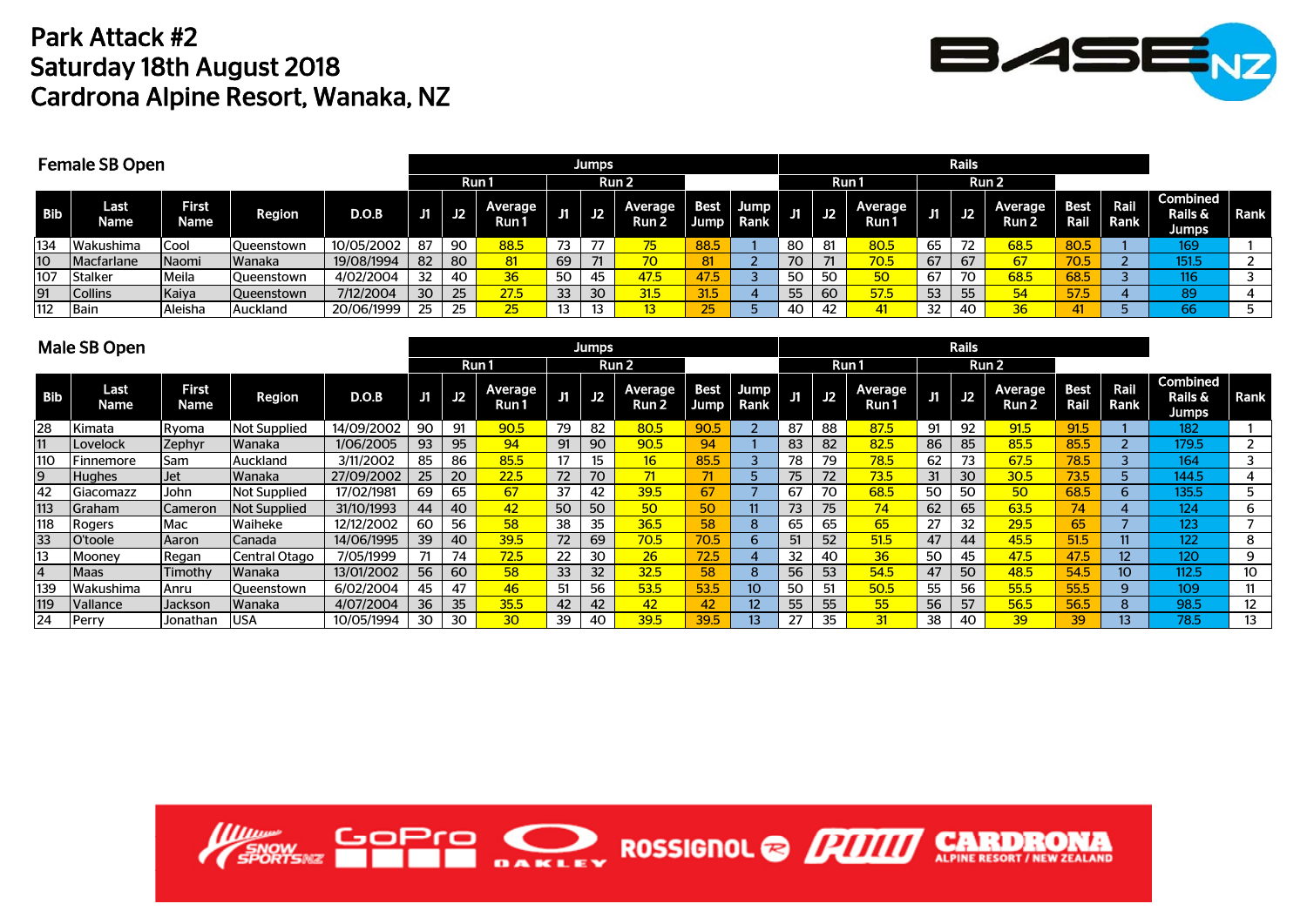## Park Attack #2Saturday 18th August 2018 Cardrona Alpine Resort, Wanaka, NZ



|            | <b>Female SB Open</b> |                             |               |            |    |     |                 |    |                  |                  |                       |                           |                     |             |                  |    |    |                  |                     |              |                                         |                          |
|------------|-----------------------|-----------------------------|---------------|------------|----|-----|-----------------|----|------------------|------------------|-----------------------|---------------------------|---------------------|-------------|------------------|----|----|------------------|---------------------|--------------|-----------------------------------------|--------------------------|
|            |                       |                             |               |            |    |     | Run 1           |    |                  | Run <sub>2</sub> |                       |                           |                     |             | Run1             |    |    | Run 2            |                     |              |                                         |                          |
| <b>Bib</b> | Last<br>Name          | <b>First</b><br><b>\ame</b> | <b>Region</b> | D.O.B      | J1 | J2  | Average<br>Run1 |    | $J1$ $J2$        | Average<br>Run 2 | <b>Best</b><br>Jump I | Jump <sub>I</sub><br>Rank | J1                  | $\sqrt{12}$ | Average<br>Run ' | IJ | J2 | Average<br>Run 2 | <b>Best</b><br>Rail | Rail<br>Rank | Combined<br><b>Rails &amp;</b><br>Jumps | Rank                     |
| 134        | <b>Wakushima</b>      | Cool                        | Queenstown    | 10/05/2002 | 87 | -90 | 88.5            | 73 |                  | 75'              | 88.5                  |                           | 80                  | 81          | 80.5             | 65 | 72 | 68.5             | 80.5                |              | 169                                     |                          |
| IО         | <b>Macfarlane</b>     | Naomi                       | <b>Wanaka</b> | 19/08/1994 | 82 | 80  | 81              | 69 | 71               | 70               | 81                    |                           | $\neg \wedge$<br>7∪ | 71          | 70.5             | 67 | 67 | 67               | 70.5                |              | 151.5                                   | $\overline{\phantom{0}}$ |
| 107        | <b>Stalker</b>        | Meila                       | Queenstown    | 4/02/2004  | 32 | 40  | 36              | 50 | 45               | 47.5             | 47.5                  |                           | 50                  | 50.         | 50               | 67 | 70 | 68.5             | 68.5                |              | 116                                     |                          |
| 91         | <b>Collins</b>        | Kaiya                       | Queenstown    | 7/12/2004  | 30 | 25  | 27.5            | 33 | 30 <sup>°</sup>  | 31.5             | 31.5                  |                           | 55                  | 60          | 57.5             | 53 | 55 | 54               | 57.5                |              | 89                                      |                          |
| 112        | Bain                  | Aleisha                     | Auckland      | 20/06/1999 | 25 | 25  | 25              |    | 13 <sup>13</sup> | 13 <sup>1</sup>  | <b>DE</b><br>ت        |                           | 40                  | 42          | 41               | 32 | 40 | 36               |                     |              | 66                                      |                          |

|                | Male SB Open                  |                      | <b>Jumps</b>        |            |    |    |                         |              |    |                  |                     |                  |    |    |                  |    |    |                  |                     |                 |                                            |             |
|----------------|-------------------------------|----------------------|---------------------|------------|----|----|-------------------------|--------------|----|------------------|---------------------|------------------|----|----|------------------|----|----|------------------|---------------------|-----------------|--------------------------------------------|-------------|
|                |                               |                      |                     |            |    |    | Run 1                   |              |    | Run 2            |                     |                  |    |    | Run 1            |    |    | Run 2            |                     |                 |                                            |             |
| <b>Bib</b>     | Last<br>Name                  | <b>First</b><br>Name | <b>Region</b>       | D.O.B      | J1 | J2 | <b>Average</b><br>Run 1 | J1           | J2 | Average<br>Run 2 | <b>Best</b><br>Jump | Jump<br>Rank     | J1 | J2 | Average<br>Run 1 | JT | J2 | Average<br>Run 2 | <b>Best</b><br>Rail | Rail<br>Rank    | <b>Combined</b><br>Rails &<br><b>Jumps</b> | <b>Rank</b> |
| 28             | Kimata                        | Ryoma                | <b>Not Supplied</b> | 14/09/2002 | 90 | 91 | 90.5                    | 79           | 82 | 80.5             | 90.5                |                  | 87 | 88 | 87.5             | 91 | 92 | 91.5             | 91.5                |                 | 182                                        |             |
| 11             | Lovelock                      | Zephyr               | Wanaka              | 1/06/2005  | 93 | 95 | 94                      | 91           | 90 | 90.5             | 94                  |                  | 83 | 82 | 82.5             | 86 | 85 | 85.5             | 85.5                |                 | 179.5                                      |             |
| 110            | <b>Finnemore</b>              | Sam                  | Auckland            | 3/11/2002  | 85 | 86 | 85.5                    | 17           | 15 | 16 <sup>1</sup>  | 85.5                |                  | 78 | 79 | 78.5             | 62 | 73 | 67.5             | 78.5                |                 | 164                                        |             |
| 9              | <b>Hughes</b>                 | <b>Jet</b>           | Wanaka              | 27/09/2002 | 25 | 20 | 22.5                    | $72^{\circ}$ | 70 | 71               |                     |                  | 75 | 72 | 73.5             | 31 | 30 | 30.5             | 73.5                |                 | 144.5                                      | 4           |
| 42             | Giacomazz                     | John                 | Not Supplied        | 17/02/1981 | 69 | 65 | 67                      | 37           | 42 | 39.5             | 67                  |                  | 67 | 70 | 68.5             | 50 | 50 | 50               | 68.5                | 6.              | 135.5                                      | 5           |
| 113            | <b>Graham</b>                 | Cameron              | Not Supplied        | 31/10/1993 | 44 | 40 | 42                      | 50           | 50 | 50               | 50                  |                  | 73 | 75 | 74               | 62 | 65 | 63.5             | 74                  |                 | 124                                        | 6           |
| 118            | Rogers                        | Mac                  | Waiheke             | 12/12/2002 | 60 | 56 | 58                      | 38           | 35 | 36.5             | 58                  | 8                | 65 | 65 | 65               | 27 | 32 | 29.5             | 65                  |                 | 123                                        |             |
| 33             | O'toole                       | Aaron                | Canada              | 14/06/1995 | 39 | 40 | 39.5                    | 72           | 69 | 70.5             | 70.5                | 6                | 51 | 52 | 51.5             | 47 | 44 | 45.5             | 51.5                |                 | 122                                        | 8           |
| 13             | Mooney                        | Regan                | Central Otago       | 7/05/1999  |    | 74 | 72.5                    | 22           | 30 | 26               | 72.5                |                  | 32 | 40 | 36 <sup>2</sup>  | 50 | 45 | 47.5             | 47.5                | 12 <sup>2</sup> | 120                                        | 9           |
| $\overline{4}$ | Maas                          | Timothv              | Wanaka              | 13/01/2002 | 56 | 60 | 58                      | 33           | 32 | 32.5             | 58                  | 8                | 56 | 53 | 54.5             | 47 | 50 | 48.5             | 54.5                | 10 <sup>°</sup> | 112.5                                      | 10          |
| 139            | Wakushima                     | Anru                 | Oueenstown          | 6/02/2004  | 45 | 47 | 46                      | 51           | 56 | 53.5             | 53.5                | 10 <sup>10</sup> | 50 | 51 | 50.5             | 55 | 56 | 55.5             | 55.5                | 9               | 109                                        | 11          |
| 119            | <i><u><b>Nallance</b></u></i> | Jackson              | Wanaka              | 4/07/2004  | 36 | 35 | 35.5                    | 42           | 42 | 42               | 42                  | 12               | 55 | 55 | 55               | 56 | 57 | 56.5             | 56.5                | 8               | 98.5                                       | 12          |
| 24             | Perry                         | Jonathan             | <b>USA</b>          | 10/05/1994 | 30 | 30 | 30 <sub>o</sub>         | 39           | 40 | 39.5             | 39.5                | 13               | 27 | 35 | 31               | 38 | 40 | 39               | 39                  | 13.             | 78.5                                       | 13          |